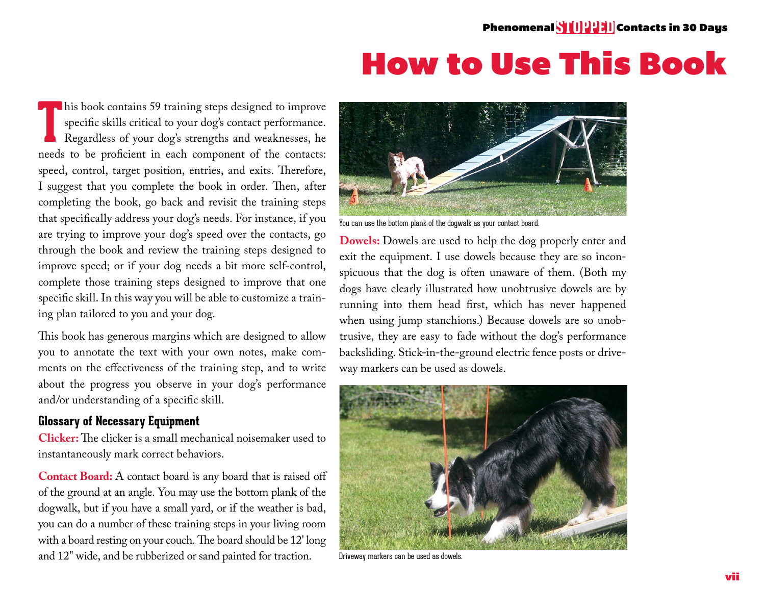## How to Use This Book

**T** his book contains 59 training steps designed to improve specific skills critical to your dog's contact performance. Regardless of your dog's strengths and weaknesses, he needs to be proficient in each component of the contacts: speed, control, target position, entries, and exits. Therefore, I suggest that you complete the book in order. Then, after completing the book, go back and revisit the training steps that specifically address your dog's needs. For instance, if you are trying to improve your dog's speed over the contacts, go through the book and review the training steps designed to improve speed; or if your dog needs a bit more self-control, complete those training steps designed to improve that one specific skill. In this way you will be able to customize a training plan tailored to you and your dog.

This book has generous margins which are designed to allow you to annotate the text with your own notes, make comments on the effectiveness of the training step, and to write about the progress you observe in your dog's performance and/or understanding of a specific skill.

## **Glossary of Necessary Equipment**

**Clicker:** The clicker is a small mechanical noisemaker used to instantaneously mark correct behaviors.

**Contact Board:** A contact board is any board that is raised off of the ground at an angle. You may use the bottom plank of the dogwalk, but if you have a small yard, or if the weather is bad, you can do a number of these training steps in your living room with a board resting on your couch. The board should be 12' long and 12" wide, and be rubberized or sand painted for traction.



You can use the bottom plank of the dogwalk as your contact board.

**Dowels:** Dowels are used to help the dog properly enter and exit the equipment. I use dowels because they are so inconspicuous that the dog is often unaware of them. (Both my dogs have clearly illustrated how unobtrusive dowels are by running into them head first, which has never happened when using jump stanchions.) Because dowels are so unobtrusive, they are easy to fade without the dog's performance backsliding. Stick-in-the-ground electric fence posts or driveway markers can be used as dowels.



Driveway markers can be used as dowels.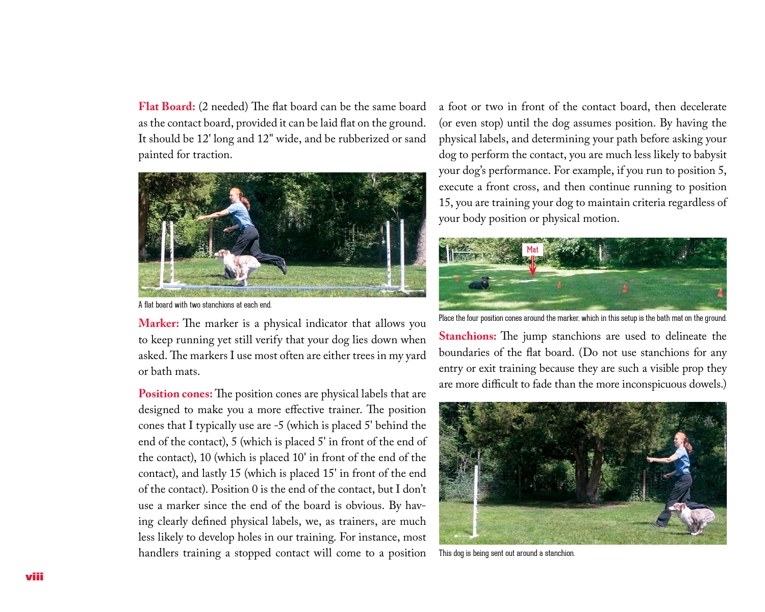**Flat Board:** (2 needed) The flat board can be the same board as the contact board, provided it can be laid flat on the ground. It should be 12' long and 12" wide, and be rubberized or sand painted for traction.



A flat board with two stanchions at each end.

**Marker:** The marker is a physical indicator that allows you to keep running yet still verify that your dog lies down when asked. The markers I use most often are either trees in my yard or bath mats.

**Position cones:** The position cones are physical labels that are designed to make you a more effective trainer. The position cones that I typically use are -5 (which is placed 5' behind the end of the contact), 5 (which is placed 5' in front of the end of the contact), 10 (which is placed 10' in front of the end of the contact), and lastly 15 (which is placed 15' in front of the end of the contact). Position 0 is the end of the contact, but I don't use a marker since the end of the board is obvious. By having clearly defined physical labels, we, as trainers, are much less likely to develop holes in our training. For instance, most handlers training a stopped contact will come to a position

a foot or two in front of the contact board, then decelerate (or even stop) until the dog assumes position. By having the physical labels, and determining your path before asking your dog to perform the contact, you are much less likely to babysit your dog's performance. For example, if you run to position 5, execute a front cross, and then continue running to position 15, you are training your dog to maintain criteria regardless of your body position or physical motion.



Place the four position cones around the marker, which in this setup is the bath mat on the ground.

**Stanchions:** The jump stanchions are used to delineate the boundaries of the flat board. (Do not use stanchions for any entry or exit training because they are such a visible prop they are more difficult to fade than the more inconspicuous dowels.)



This dog is being sent out around a stanchion.